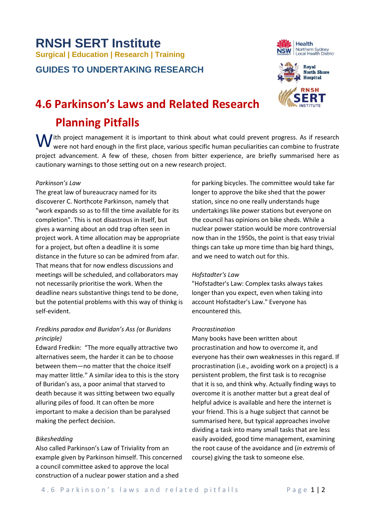# **RNSH SERT Institute Surgical | Education | Research | Training**

**GUIDES TO UNDERTAKING RESEARCH**





# **4.6 Parkinson's Laws and Related Research Planning Pitfalls**

 $\mathbf W$  ith project management it is important to think about what could prevent progress. As if research were not hard enough in the first place, various specific human peculiarities can combine to frustrate were not hard enough in the first place, various specific human peculiarities can combine to frustrate project advancement. A few of these, chosen from bitter experience, are briefly summarised here as cautionary warnings to those setting out on a new research project.

#### *Parkinson's Law*

The great law of bureaucracy named for its discoverer C. Northcote Parkinson, namely that "work expands so as to fill the time available for its completion". This is not disastrous in itself, but gives a warning about an odd trap often seen in project work. A time allocation may be appropriate for a project, but often a deadline it is some distance in the future so can be admired from afar. That means that for now endless discussions and meetings will be scheduled, and collaborators may not necessarily prioritise the work. When the deadline nears substantive things tend to be done, but the potential problems with this way of thinkg is self-evident.

### *Fredkins paradox and Buridan's Ass (*or *Buridans principle)*

Edward Fredkin: "The more equally attractive two alternatives seem, the harder it can be to choose between them—no matter that the choice itself may matter little." A similar idea to this is the story of Buridan's ass, a poor animal that starved to death because it was sitting between two equally alluring piles of food. It can often be more important to make a decision than be paralysed making the perfect decision.

#### *Bikeshedding*

Also called Parkinson's Law of Triviality from an example given by Parkinson himself. This concerned a council committee asked to approve the local construction of a nuclear power station and a shed

for parking bicycles. The committee would take far longer to approve the bike shed that the power station, since no one really understands huge undertakings like power stations but everyone on the council has opinions on bike sheds. While a nuclear power station would be more controversial now than in the 1950s, the point is that easy trivial things can take up more time than big hard things, and we need to watch out for this.

#### *Hofstadter's Law*

"Hofstadter's Law: Complex tasks always takes longer than you expect, even when taking into account Hofstadter's Law." Everyone has encountered this.

#### *Procrastination*

Many books have been written about procrastination and how to overcome it, and everyone has their own weaknesses in this regard. If procrastination (i.e., avoiding work on a project) is a persistent problem, the first task is to recognise that it is so, and think why. Actually finding ways to overcome it is another matter but a great deal of helpful advice is available and here the internet is your friend. This is a huge subject that cannot be summarised here, but typical approaches involve dividing a task into many small tasks that are less easily avoided, good time management, examining the root cause of the avoidance and (*in extremis* of course) giving the task to someone else.